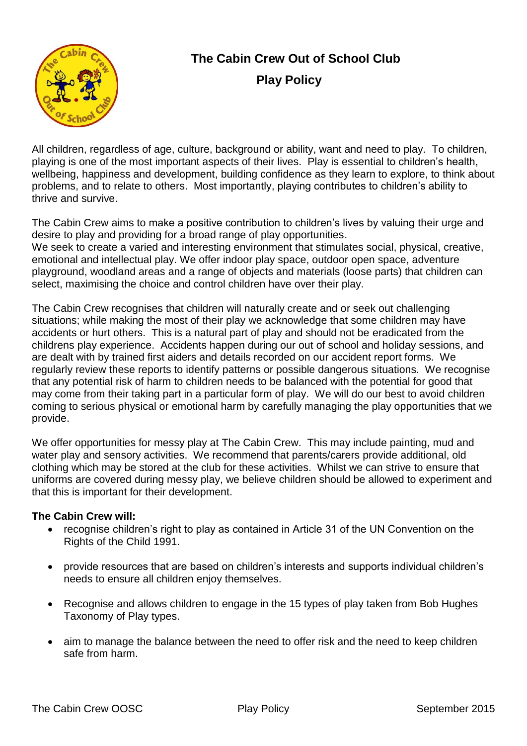

## **The Cabin Crew Out of School Club Play Policy**

All children, regardless of age, culture, background or ability, want and need to play. To children, playing is one of the most important aspects of their lives. Play is essential to children's health, wellbeing, happiness and development, building confidence as they learn to explore, to think about problems, and to relate to others. Most importantly, playing contributes to children's ability to thrive and survive.

The Cabin Crew aims to make a positive contribution to children's lives by valuing their urge and desire to play and providing for a broad range of play opportunities.

We seek to create a varied and interesting environment that stimulates social, physical, creative, emotional and intellectual play. We offer indoor play space, outdoor open space, adventure playground, woodland areas and a range of objects and materials (loose parts) that children can select, maximising the choice and control children have over their play.

The Cabin Crew recognises that children will naturally create and or seek out challenging situations; while making the most of their play we acknowledge that some children may have accidents or hurt others. This is a natural part of play and should not be eradicated from the childrens play experience. Accidents happen during our out of school and holiday sessions, and are dealt with by trained first aiders and details recorded on our accident report forms. We regularly review these reports to identify patterns or possible dangerous situations. We recognise that any potential risk of harm to children needs to be balanced with the potential for good that may come from their taking part in a particular form of play. We will do our best to avoid children coming to serious physical or emotional harm by carefully managing the play opportunities that we provide.

We offer opportunities for messy play at The Cabin Crew. This may include painting, mud and water play and sensory activities. We recommend that parents/carers provide additional, old clothing which may be stored at the club for these activities. Whilst we can strive to ensure that uniforms are covered during messy play, we believe children should be allowed to experiment and that this is important for their development.

## **The Cabin Crew will:**

- recognise children's right to play as contained in Article 31 of the UN Convention on the Rights of the Child 1991.
- provide resources that are based on children's interests and supports individual children's needs to ensure all children enjoy themselves.
- Recognise and allows children to engage in the 15 types of play taken from Bob Hughes Taxonomy of Play types.
- aim to manage the balance between the need to offer risk and the need to keep children safe from harm.